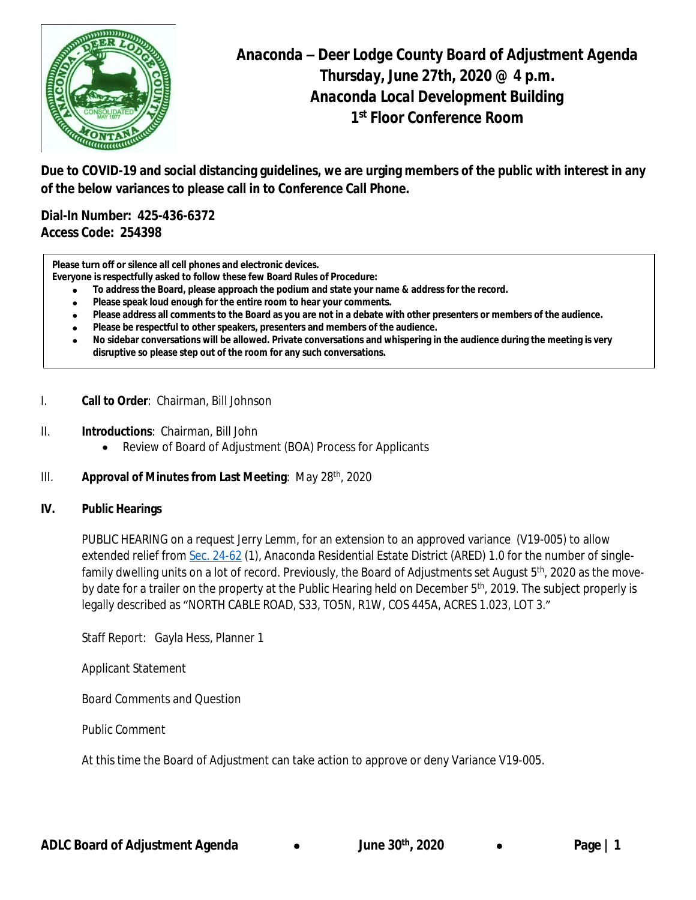

**Due to COVID-19 and social distancing guidelines, we are urging members of the public with interest in any of the below variances to please call in to Conference Call Phone.**

**Dial-In Number: 425-436-6372 Access Code: 254398**

**Please turn off or silence all cell phones and electronic devices.**

- **Everyone is respectfully asked to follow these few Board Rules of Procedure:**
	- · **To address the Board, please approach the podium and state your name & address for the record.**
	- · **Please speak loud enough for the entire room to hear your comments.**
	- · **Please address all comments to the Board as you are not in a debate with other presenters or members of the audience.**
	- · **Please be respectful to other speakers, presenters and members of the audience.**
	- · **No sidebar conversations will be allowed. Private conversations and whispering in the audience during the meeting is very disruptive so please step out of the room for any such conversations.**
- I. **Call to Order**: Chairman, Bill Johnson
- II. **Introductions**: Chairman, Bill John
	- Review of Board of Adjustment (BOA) Process for Applicants
- III. **Approval of Minutes from Last Meeting**: May 28th, 2020

## **IV. Public Hearings**

PUBLIC HEARING on a request Jerry Lemm, for an extension to an approved variance (V19-005) to allow extended relief from [Sec. 24-62](https://library.municode.com/mt/anaconda-deer_lodge_county/codes/code_of_ordinances?nodeId=PTIICOOR_CH24DEPESY_ARTIVANREESDIAR_S24-62PEUS) (1), Anaconda Residential Estate District (ARED) 1.0 for the number of singlefamily dwelling units on a lot of record. Previously, the Board of Adjustments set August 5<sup>th</sup>, 2020 as the moveby date for a trailer on the property at the Public Hearing held on December 5<sup>th</sup>, 2019. The subject properly is legally described as "NORTH CABLE ROAD, S33, TO5N, R1W, COS 445A, ACRES 1.023, LOT 3."

Staff Report: Gayla Hess, Planner 1

Applicant Statement

Board Comments and Question

Public Comment

At this time the Board of Adjustment can take action to approve or deny Variance V19-005.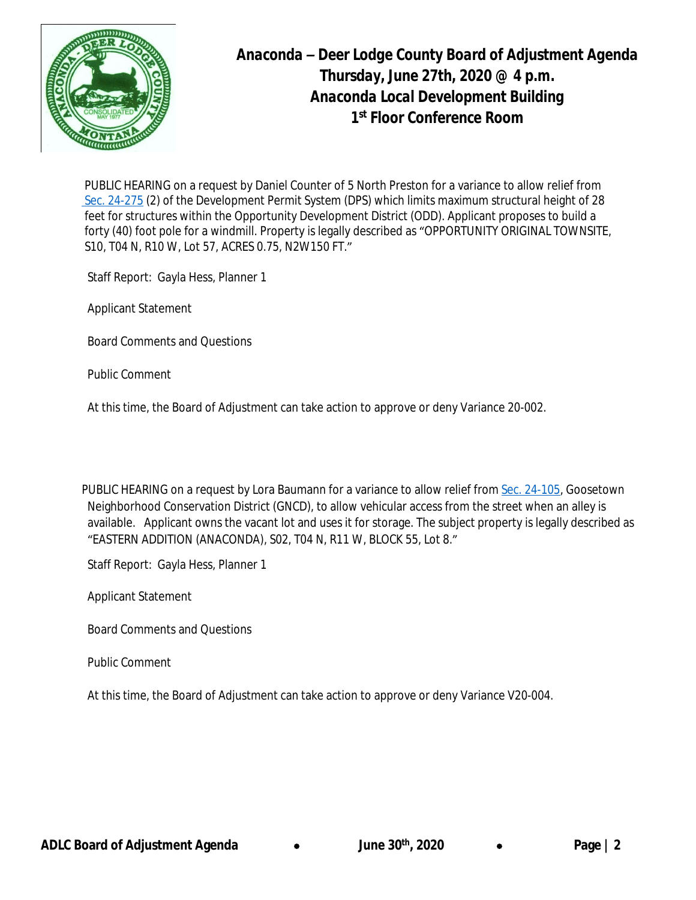

PUBLIC HEARING on a request by Daniel Counter of 5 North Preston for a variance to allow relief from [Sec. 24-275](https://library.municode.com/mt/anaconda-deer_lodge_county/codes/code_of_ordinances?nodeId=PTIICOOR_CH24DEPESY_ARTXXIVOPDEDIOD_S24-275DEST) (2) of the Development Permit System (DPS) which limits maximum structural height of 28 feet for structures within the Opportunity Development District (ODD). Applicant proposes to build a forty (40) foot pole for a windmill. Property is legally described as "OPPORTUNITY ORIGINAL TOWNSITE, S10, T04 N, R10 W, Lot 57, ACRES 0.75, N2W150 FT."

Staff Report: Gayla Hess, Planner 1

Applicant Statement

Board Comments and Questions

Public Comment

At this time, the Board of Adjustment can take action to approve or deny Variance 20-002.

PUBLIC HEARING on a request by Lora Baumann for a variance to allow relief from [Sec. 24-105,](https://library.municode.com/mt/anaconda-deer_lodge_county/codes/code_of_ordinances?nodeId=PTIICOOR_CH24DEPESY_ARTVIIIGONECODIGN_S24-105VEAC) Goosetown Neighborhood Conservation District (GNCD), to allow vehicular access from the street when an alley is available. Applicant owns the vacant lot and uses it for storage. The subject property is legally described as "EASTERN ADDITION (ANACONDA), S02, T04 N, R11 W, BLOCK 55, Lot 8."

Staff Report: Gayla Hess, Planner 1

Applicant Statement

Board Comments and Questions

Public Comment

At this time, the Board of Adjustment can take action to approve or deny Variance V20-004.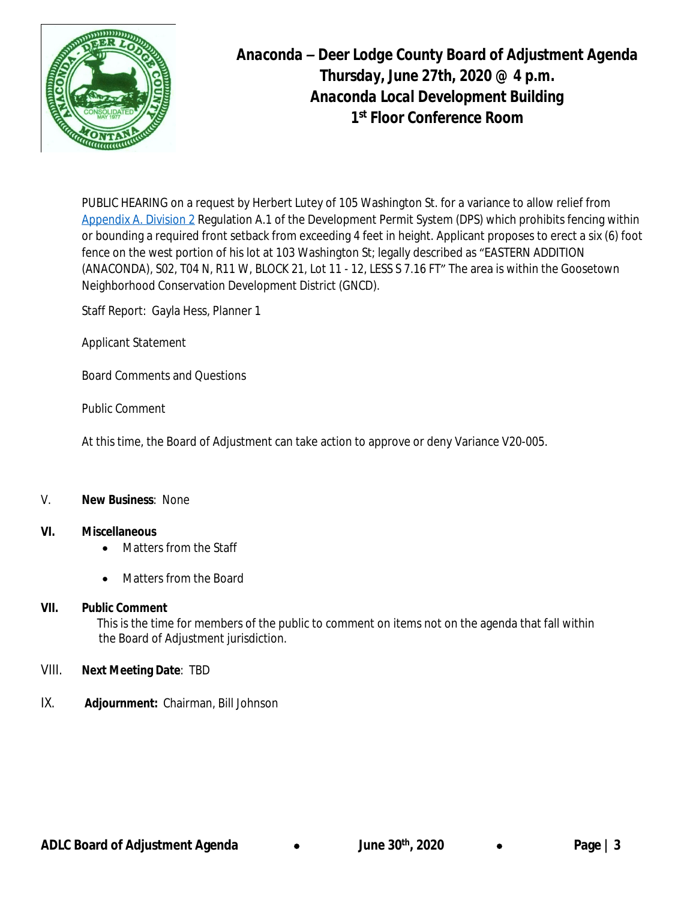

PUBLIC HEARING on a request by Herbert Lutey of 105 Washington St. for a variance to allow relief from [Appendix A. Division 2](https://library.municode.com/mt/anaconda-deer_lodge_county/codes/code_of_ordinances?nodeId=PTIICOOR_CH24DEPESY_APXASURE_DIV2FEREWA) Regulation A.1 of the Development Permit System (DPS) which prohibits fencing within or bounding a required front setback from exceeding 4 feet in height. Applicant proposes to erect a six (6) foot fence on the west portion of his lot at 103 Washington St; legally described as "EASTERN ADDITION (ANACONDA), S02, T04 N, R11 W, BLOCK 21, Lot 11 - 12, LESS S 7.16 FT" The area is within the Goosetown Neighborhood Conservation Development District (GNCD).

Staff Report: Gayla Hess, Planner 1

Applicant Statement

Board Comments and Questions

Public Comment

At this time, the Board of Adjustment can take action to approve or deny Variance V20-005.

## V. **New Business**: None

## **VI. Miscellaneous**

- Matters from the Staff
- Matters from the Board

# **VII. Public Comment**

This is the time for members of the public to comment on items not on the agenda that fall within the Board of Adjustment jurisdiction.

# VIII. **Next Meeting Date**: TBD

IX. **Adjournment:** Chairman, Bill Johnson